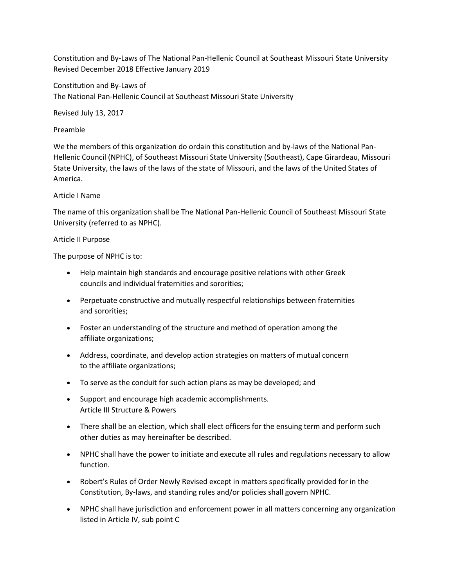Constitution and By-Laws of The National Pan-Hellenic Council at Southeast Missouri State University Revised December 2018 Effective January 2019

Constitution and By-Laws of The National Pan-Hellenic Council at Southeast Missouri State University

Revised July 13, 2017

## Preamble

We the members of this organization do ordain this constitution and by-laws of the National Pan-Hellenic Council (NPHC), of Southeast Missouri State University (Southeast), Cape Girardeau, Missouri State University, the laws of the laws of the state of Missouri, and the laws of the United States of America.

# Article I Name

The name of this organization shall be The National Pan-Hellenic Council of Southeast Missouri State University (referred to as NPHC).

# Article II Purpose

The purpose of NPHC is to:

- Help maintain high standards and encourage positive relations with other Greek councils and individual fraternities and sororities;
- Perpetuate constructive and mutually respectful relationships between fraternities and sororities;
- Foster an understanding of the structure and method of operation among the affiliate organizations;
- Address, coordinate, and develop action strategies on matters of mutual concern to the affiliate organizations;
- To serve as the conduit for such action plans as may be developed; and
- Support and encourage high academic accomplishments. Article III Structure & Powers
- There shall be an election, which shall elect officers for the ensuing term and perform such other duties as may hereinafter be described.
- NPHC shall have the power to initiate and execute all rules and regulations necessary to allow function.
- Robert's Rules of Order Newly Revised except in matters specifically provided for in the Constitution, By-laws, and standing rules and/or policies shall govern NPHC.
- NPHC shall have jurisdiction and enforcement power in all matters concerning any organization listed in Article IV, sub point C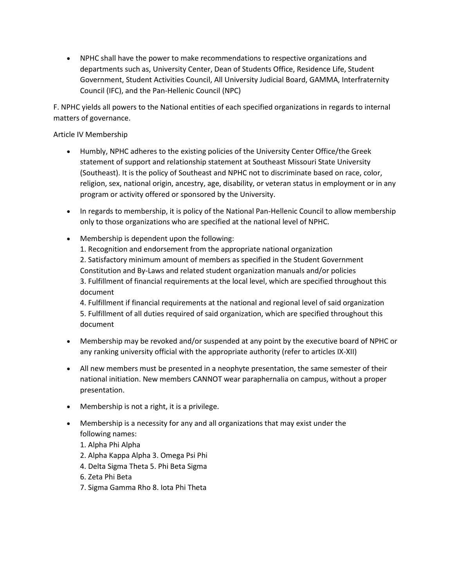NPHC shall have the power to make recommendations to respective organizations and departments such as, University Center, Dean of Students Office, Residence Life, Student Government, Student Activities Council, All University Judicial Board, GAMMA, Interfraternity Council (IFC), and the Pan-Hellenic Council (NPC)

F. NPHC yields all powers to the National entities of each specified organizations in regards to internal matters of governance.

# Article IV Membership

- Humbly, NPHC adheres to the existing policies of the University Center Office/the Greek statement of support and relationship statement at Southeast Missouri State University (Southeast). It is the policy of Southeast and NPHC not to discriminate based on race, color, religion, sex, national origin, ancestry, age, disability, or veteran status in employment or in any program or activity offered or sponsored by the University.
- In regards to membership, it is policy of the National Pan-Hellenic Council to allow membership only to those organizations who are specified at the national level of NPHC.
- Membership is dependent upon the following: 1. Recognition and endorsement from the appropriate national organization 2. Satisfactory minimum amount of members as specified in the Student Government Constitution and By-Laws and related student organization manuals and/or policies 3. Fulfillment of financial requirements at the local level, which are specified throughout this document

4. Fulfillment if financial requirements at the national and regional level of said organization 5. Fulfillment of all duties required of said organization, which are specified throughout this document

- Membership may be revoked and/or suspended at any point by the executive board of NPHC or any ranking university official with the appropriate authority (refer to articles IX-XII)
- All new members must be presented in a neophyte presentation, the same semester of their national initiation. New members CANNOT wear paraphernalia on campus, without a proper presentation.
- Membership is not a right, it is a privilege.
- Membership is a necessity for any and all organizations that may exist under the following names:
	- 1. Alpha Phi Alpha
	- 2. Alpha Kappa Alpha 3. Omega Psi Phi
	- 4. Delta Sigma Theta 5. Phi Beta Sigma
	- 6. Zeta Phi Beta
	- 7. Sigma Gamma Rho 8. Iota Phi Theta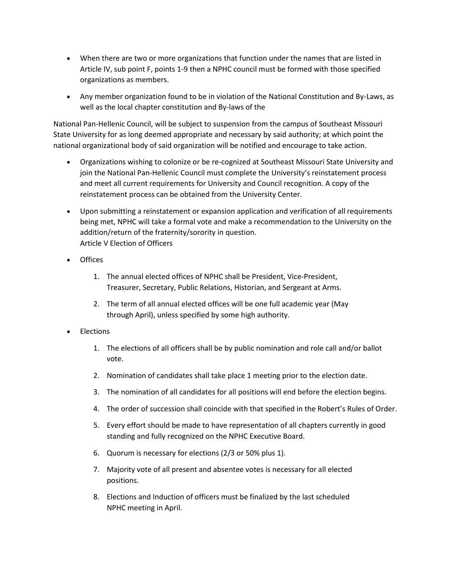- When there are two or more organizations that function under the names that are listed in Article IV, sub point F, points 1-9 then a NPHC council must be formed with those specified organizations as members.
- Any member organization found to be in violation of the National Constitution and By-Laws, as well as the local chapter constitution and By-laws of the

National Pan-Hellenic Council, will be subject to suspension from the campus of Southeast Missouri State University for as long deemed appropriate and necessary by said authority; at which point the national organizational body of said organization will be notified and encourage to take action.

- Organizations wishing to colonize or be re-cognized at Southeast Missouri State University and join the National Pan-Hellenic Council must complete the University's reinstatement process and meet all current requirements for University and Council recognition. A copy of the reinstatement process can be obtained from the University Center.
- Upon submitting a reinstatement or expansion application and verification of all requirements being met, NPHC will take a formal vote and make a recommendation to the University on the addition/return of the fraternity/sorority in question. Article V Election of Officers
- **Offices** 
	- 1. The annual elected offices of NPHC shall be President, Vice-President, Treasurer, Secretary, Public Relations, Historian, and Sergeant at Arms.
	- 2. The term of all annual elected offices will be one full academic year (May through April), unless specified by some high authority.
- Elections
	- 1. The elections of all officers shall be by public nomination and role call and/or ballot vote.
	- 2. Nomination of candidates shall take place 1 meeting prior to the election date.
	- 3. The nomination of all candidates for all positions will end before the election begins.
	- 4. The order of succession shall coincide with that specified in the Robert's Rules of Order.
	- 5. Every effort should be made to have representation of all chapters currently in good standing and fully recognized on the NPHC Executive Board.
	- 6. Quorum is necessary for elections (2/3 or 50% plus 1).
	- 7. Majority vote of all present and absentee votes is necessary for all elected positions.
	- 8. Elections and Induction of officers must be finalized by the last scheduled NPHC meeting in April.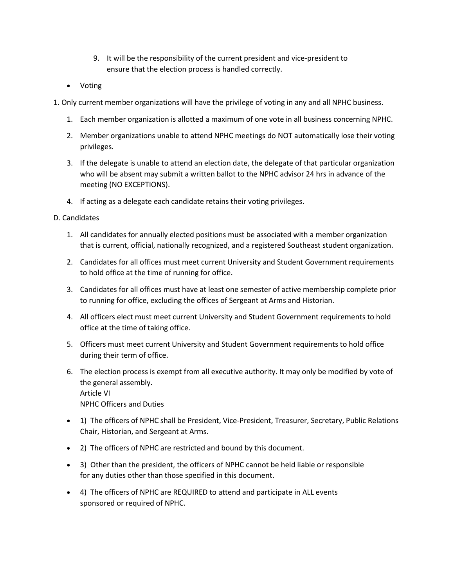- 9. It will be the responsibility of the current president and vice-president to ensure that the election process is handled correctly.
- Voting

1. Only current member organizations will have the privilege of voting in any and all NPHC business.

- 1. Each member organization is allotted a maximum of one vote in all business concerning NPHC.
- 2. Member organizations unable to attend NPHC meetings do NOT automatically lose their voting privileges.
- 3. If the delegate is unable to attend an election date, the delegate of that particular organization who will be absent may submit a written ballot to the NPHC advisor 24 hrs in advance of the meeting (NO EXCEPTIONS).
- 4. If acting as a delegate each candidate retains their voting privileges.

## D. Candidates

- 1. All candidates for annually elected positions must be associated with a member organization that is current, official, nationally recognized, and a registered Southeast student organization.
- 2. Candidates for all offices must meet current University and Student Government requirements to hold office at the time of running for office.
- 3. Candidates for all offices must have at least one semester of active membership complete prior to running for office, excluding the offices of Sergeant at Arms and Historian.
- 4. All officers elect must meet current University and Student Government requirements to hold office at the time of taking office.
- 5. Officers must meet current University and Student Government requirements to hold office during their term of office.
- 6. The election process is exempt from all executive authority. It may only be modified by vote of the general assembly. Article VI NPHC Officers and Duties
- 1) The officers of NPHC shall be President, Vice-President, Treasurer, Secretary, Public Relations Chair, Historian, and Sergeant at Arms.
- 2) The officers of NPHC are restricted and bound by this document.
- 3) Other than the president, the officers of NPHC cannot be held liable or responsible for any duties other than those specified in this document.
- 4) The officers of NPHC are REQUIRED to attend and participate in ALL events sponsored or required of NPHC.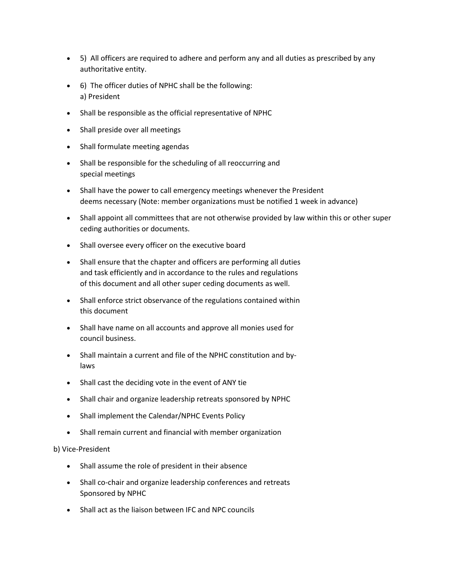- 5) All officers are required to adhere and perform any and all duties as prescribed by any authoritative entity.
- 6) The officer duties of NPHC shall be the following: a) President
- Shall be responsible as the official representative of NPHC
- Shall preside over all meetings
- Shall formulate meeting agendas
- Shall be responsible for the scheduling of all reoccurring and special meetings
- Shall have the power to call emergency meetings whenever the President deems necessary (Note: member organizations must be notified 1 week in advance)
- Shall appoint all committees that are not otherwise provided by law within this or other super ceding authorities or documents.
- Shall oversee every officer on the executive board
- Shall ensure that the chapter and officers are performing all duties and task efficiently and in accordance to the rules and regulations of this document and all other super ceding documents as well.
- Shall enforce strict observance of the regulations contained within this document
- Shall have name on all accounts and approve all monies used for council business.
- Shall maintain a current and file of the NPHC constitution and bylaws
- Shall cast the deciding vote in the event of ANY tie
- Shall chair and organize leadership retreats sponsored by NPHC
- Shall implement the Calendar/NPHC Events Policy
- Shall remain current and financial with member organization

## b) Vice-President

- Shall assume the role of president in their absence
- Shall co-chair and organize leadership conferences and retreats Sponsored by NPHC
- Shall act as the liaison between IFC and NPC councils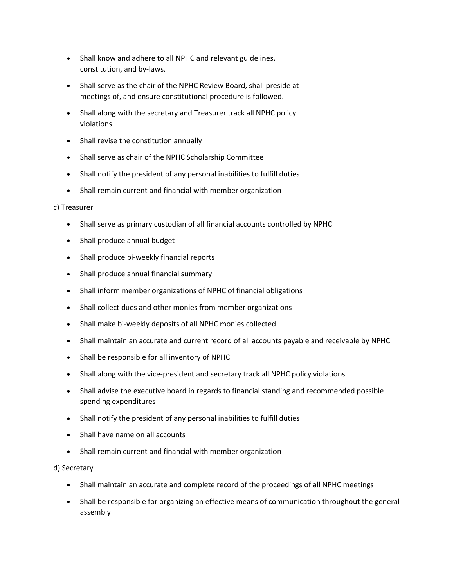- Shall know and adhere to all NPHC and relevant guidelines, constitution, and by-laws.
- Shall serve as the chair of the NPHC Review Board, shall preside at meetings of, and ensure constitutional procedure is followed.
- Shall along with the secretary and Treasurer track all NPHC policy violations
- Shall revise the constitution annually
- Shall serve as chair of the NPHC Scholarship Committee
- Shall notify the president of any personal inabilities to fulfill duties
- Shall remain current and financial with member organization

## c) Treasurer

- Shall serve as primary custodian of all financial accounts controlled by NPHC
- Shall produce annual budget
- Shall produce bi-weekly financial reports
- Shall produce annual financial summary
- Shall inform member organizations of NPHC of financial obligations
- Shall collect dues and other monies from member organizations
- Shall make bi-weekly deposits of all NPHC monies collected
- Shall maintain an accurate and current record of all accounts payable and receivable by NPHC
- Shall be responsible for all inventory of NPHC
- Shall along with the vice-president and secretary track all NPHC policy violations
- Shall advise the executive board in regards to financial standing and recommended possible spending expenditures
- Shall notify the president of any personal inabilities to fulfill duties
- Shall have name on all accounts
- Shall remain current and financial with member organization

## d) Secretary

- Shall maintain an accurate and complete record of the proceedings of all NPHC meetings
- Shall be responsible for organizing an effective means of communication throughout the general assembly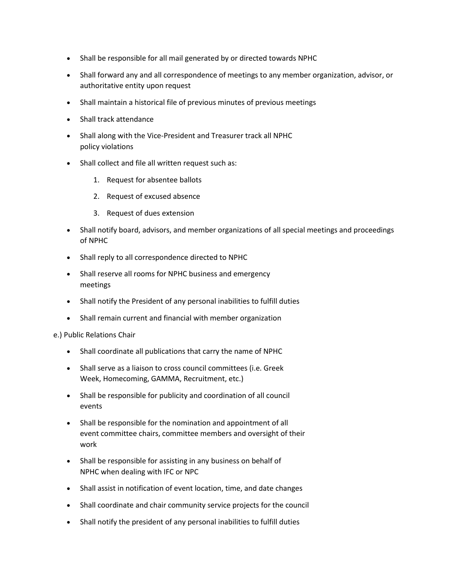- Shall be responsible for all mail generated by or directed towards NPHC
- Shall forward any and all correspondence of meetings to any member organization, advisor, or authoritative entity upon request
- Shall maintain a historical file of previous minutes of previous meetings
- Shall track attendance
- Shall along with the Vice-President and Treasurer track all NPHC policy violations
- Shall collect and file all written request such as:
	- 1. Request for absentee ballots
	- 2. Request of excused absence
	- 3. Request of dues extension
- Shall notify board, advisors, and member organizations of all special meetings and proceedings of NPHC
- Shall reply to all correspondence directed to NPHC
- Shall reserve all rooms for NPHC business and emergency meetings
- Shall notify the President of any personal inabilities to fulfill duties
- Shall remain current and financial with member organization

e.) Public Relations Chair

- Shall coordinate all publications that carry the name of NPHC
- Shall serve as a liaison to cross council committees (i.e. Greek Week, Homecoming, GAMMA, Recruitment, etc.)
- Shall be responsible for publicity and coordination of all council events
- Shall be responsible for the nomination and appointment of all event committee chairs, committee members and oversight of their work
- Shall be responsible for assisting in any business on behalf of NPHC when dealing with IFC or NPC
- Shall assist in notification of event location, time, and date changes
- Shall coordinate and chair community service projects for the council
- Shall notify the president of any personal inabilities to fulfill duties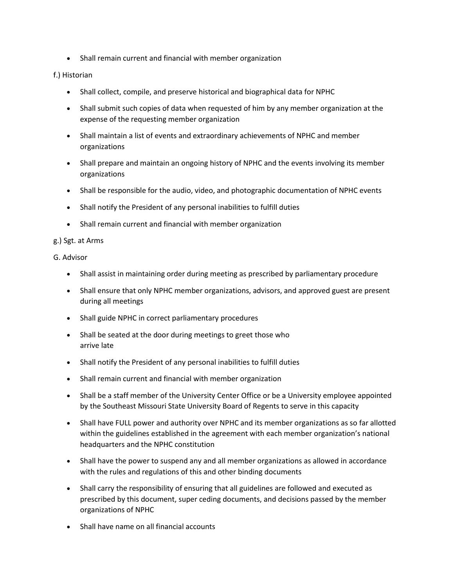Shall remain current and financial with member organization

# f.) Historian

- Shall collect, compile, and preserve historical and biographical data for NPHC
- Shall submit such copies of data when requested of him by any member organization at the expense of the requesting member organization
- Shall maintain a list of events and extraordinary achievements of NPHC and member organizations
- Shall prepare and maintain an ongoing history of NPHC and the events involving its member organizations
- Shall be responsible for the audio, video, and photographic documentation of NPHC events
- Shall notify the President of any personal inabilities to fulfill duties
- Shall remain current and financial with member organization

## g.) Sgt. at Arms

## G. Advisor

- Shall assist in maintaining order during meeting as prescribed by parliamentary procedure
- Shall ensure that only NPHC member organizations, advisors, and approved guest are present during all meetings
- Shall guide NPHC in correct parliamentary procedures
- Shall be seated at the door during meetings to greet those who arrive late
- Shall notify the President of any personal inabilities to fulfill duties
- Shall remain current and financial with member organization
- Shall be a staff member of the University Center Office or be a University employee appointed by the Southeast Missouri State University Board of Regents to serve in this capacity
- Shall have FULL power and authority over NPHC and its member organizations as so far allotted within the guidelines established in the agreement with each member organization's national headquarters and the NPHC constitution
- Shall have the power to suspend any and all member organizations as allowed in accordance with the rules and regulations of this and other binding documents
- Shall carry the responsibility of ensuring that all guidelines are followed and executed as prescribed by this document, super ceding documents, and decisions passed by the member organizations of NPHC
- Shall have name on all financial accounts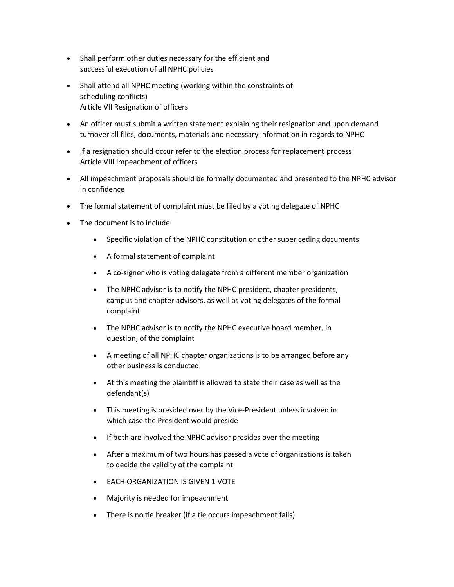- Shall perform other duties necessary for the efficient and successful execution of all NPHC policies
- Shall attend all NPHC meeting (working within the constraints of scheduling conflicts) Article VII Resignation of officers
- An officer must submit a written statement explaining their resignation and upon demand turnover all files, documents, materials and necessary information in regards to NPHC
- If a resignation should occur refer to the election process for replacement process Article VIII Impeachment of officers
- All impeachment proposals should be formally documented and presented to the NPHC advisor in confidence
- The formal statement of complaint must be filed by a voting delegate of NPHC
- The document is to include:
	- Specific violation of the NPHC constitution or other super ceding documents
	- A formal statement of complaint
	- A co-signer who is voting delegate from a different member organization
	- The NPHC advisor is to notify the NPHC president, chapter presidents, campus and chapter advisors, as well as voting delegates of the formal complaint
	- The NPHC advisor is to notify the NPHC executive board member, in question, of the complaint
	- A meeting of all NPHC chapter organizations is to be arranged before any other business is conducted
	- At this meeting the plaintiff is allowed to state their case as well as the defendant(s)
	- This meeting is presided over by the Vice-President unless involved in which case the President would preside
	- If both are involved the NPHC advisor presides over the meeting
	- After a maximum of two hours has passed a vote of organizations is taken to decide the validity of the complaint
	- EACH ORGANIZATION IS GIVEN 1 VOTE
	- Majority is needed for impeachment
	- There is no tie breaker (if a tie occurs impeachment fails)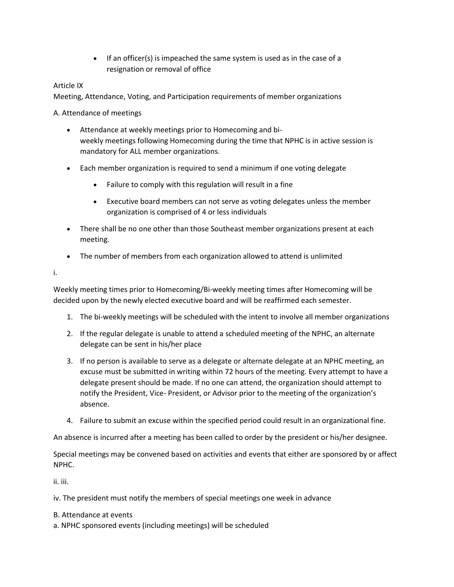If an officer(s) is impeached the same system is used as in the case of a resignation or removal of office

# Article IX

Meeting, Attendance, Voting, and Participation requirements of member organizations

A. Attendance of meetings

- Attendance at weekly meetings prior to Homecoming and biweekly meetings following Homecoming during the time that NPHC is in active session is mandatory for ALL member organizations.
- Each member organization is required to send a minimum if one voting delegate
	- Failure to comply with this regulation will result in a fine
	- Executive board members can not serve as voting delegates unless the member organization is comprised of 4 or less individuals
- There shall be no one other than those Southeast member organizations present at each meeting.
- The number of members from each organization allowed to attend is unlimited

i.

Weekly meeting times prior to Homecoming/Bi-weekly meeting times after Homecoming will be decided upon by the newly elected executive board and will be reaffirmed each semester.

- 1. The bi-weekly meetings will be scheduled with the intent to involve all member organizations
- 2. If the regular delegate is unable to attend a scheduled meeting of the NPHC, an alternate delegate can be sent in his/her place
- 3. If no person is available to serve as a delegate or alternate delegate at an NPHC meeting, an excuse must be submitted in writing within 72 hours of the meeting. Every attempt to have a delegate present should be made. If no one can attend, the organization should attempt to notify the President, Vice- President, or Advisor prior to the meeting of the organization's absence.
- 4. Failure to submit an excuse within the specified period could result in an organizational fine.

An absence is incurred after a meeting has been called to order by the president or his/her designee.

Special meetings may be convened based on activities and events that either are sponsored by or affect NPHC.

ii. iii.

iv. The president must notify the members of special meetings one week in advance

- B. Attendance at events
- a. NPHC sponsored events (including meetings) will be scheduled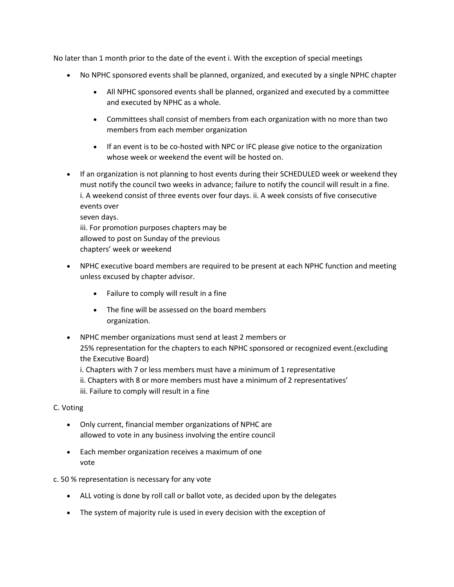No later than 1 month prior to the date of the event i. With the exception of special meetings

- No NPHC sponsored events shall be planned, organized, and executed by a single NPHC chapter
	- All NPHC sponsored events shall be planned, organized and executed by a committee and executed by NPHC as a whole.
	- Committees shall consist of members from each organization with no more than two members from each member organization
	- If an event is to be co-hosted with NPC or IFC please give notice to the organization whose week or weekend the event will be hosted on.
- If an organization is not planning to host events during their SCHEDULED week or weekend they must notify the council two weeks in advance; failure to notify the council will result in a fine. i. A weekend consist of three events over four days. ii. A week consists of five consecutive events over seven days. iii. For promotion purposes chapters may be allowed to post on Sunday of the previous chapters' week or weekend
- NPHC executive board members are required to be present at each NPHC function and meeting unless excused by chapter advisor.
	- Failure to comply will result in a fine
	- The fine will be assessed on the board members organization.
- NPHC member organizations must send at least 2 members or 25% representation for the chapters to each NPHC sponsored or recognized event.(excluding the Executive Board)

i. Chapters with 7 or less members must have a minimum of 1 representative

ii. Chapters with 8 or more members must have a minimum of 2 representatives' iii. Failure to comply will result in a fine

# C. Voting

- Only current, financial member organizations of NPHC are allowed to vote in any business involving the entire council
- Each member organization receives a maximum of one vote

# c. 50 % representation is necessary for any vote

- ALL voting is done by roll call or ballot vote, as decided upon by the delegates
- The system of majority rule is used in every decision with the exception of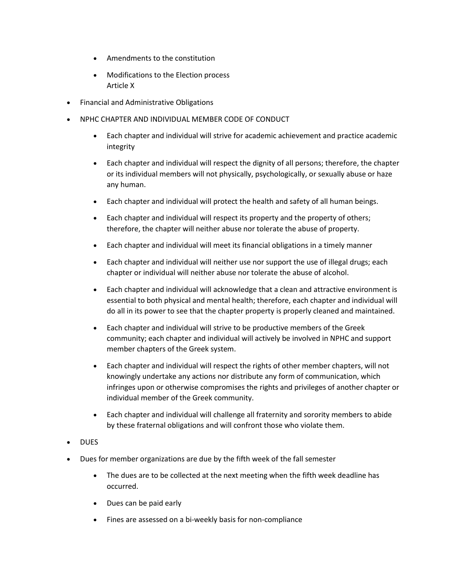- Amendments to the constitution
- Modifications to the Election process Article X
- Financial and Administrative Obligations
- NPHC CHAPTER AND INDIVIDUAL MEMBER CODE OF CONDUCT
	- Each chapter and individual will strive for academic achievement and practice academic integrity
	- Each chapter and individual will respect the dignity of all persons; therefore, the chapter or its individual members will not physically, psychologically, or sexually abuse or haze any human.
	- Each chapter and individual will protect the health and safety of all human beings.
	- Each chapter and individual will respect its property and the property of others; therefore, the chapter will neither abuse nor tolerate the abuse of property.
	- Each chapter and individual will meet its financial obligations in a timely manner
	- Each chapter and individual will neither use nor support the use of illegal drugs; each chapter or individual will neither abuse nor tolerate the abuse of alcohol.
	- Each chapter and individual will acknowledge that a clean and attractive environment is essential to both physical and mental health; therefore, each chapter and individual will do all in its power to see that the chapter property is properly cleaned and maintained.
	- Each chapter and individual will strive to be productive members of the Greek community; each chapter and individual will actively be involved in NPHC and support member chapters of the Greek system.
	- Each chapter and individual will respect the rights of other member chapters, will not knowingly undertake any actions nor distribute any form of communication, which infringes upon or otherwise compromises the rights and privileges of another chapter or individual member of the Greek community.
	- Each chapter and individual will challenge all fraternity and sorority members to abide by these fraternal obligations and will confront those who violate them.
- DUES
- Dues for member organizations are due by the fifth week of the fall semester
	- The dues are to be collected at the next meeting when the fifth week deadline has occurred.
	- Dues can be paid early
	- Fines are assessed on a bi-weekly basis for non-compliance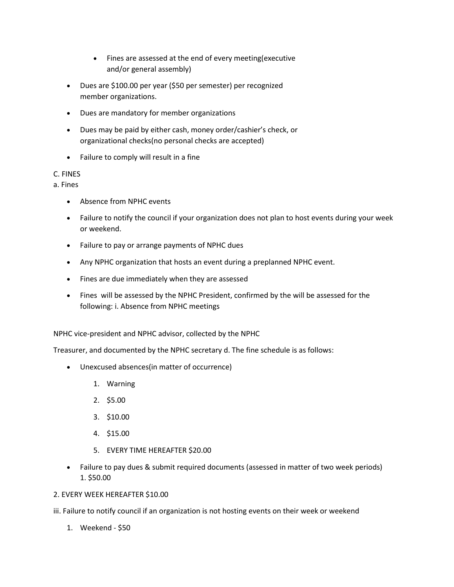- Fines are assessed at the end of every meeting(executive and/or general assembly)
- Dues are \$100.00 per year (\$50 per semester) per recognized member organizations.
- Dues are mandatory for member organizations
- Dues may be paid by either cash, money order/cashier's check, or organizational checks(no personal checks are accepted)
- Failure to comply will result in a fine

# C. FINES

a. Fines

- Absence from NPHC events
- Failure to notify the council if your organization does not plan to host events during your week or weekend.
- Failure to pay or arrange payments of NPHC dues
- Any NPHC organization that hosts an event during a preplanned NPHC event.
- Fines are due immediately when they are assessed
- Fines will be assessed by the NPHC President, confirmed by the will be assessed for the following: i. Absence from NPHC meetings

NPHC vice-president and NPHC advisor, collected by the NPHC

Treasurer, and documented by the NPHC secretary d. The fine schedule is as follows:

- Unexcused absences(in matter of occurrence)
	- 1. Warning
	- 2. \$5.00
	- 3. \$10.00
	- 4. \$15.00
	- 5. EVERY TIME HEREAFTER \$20.00
- Failure to pay dues & submit required documents (assessed in matter of two week periods) 1. \$50.00

## 2. EVERY WEEK HEREAFTER \$10.00

- iii. Failure to notify council if an organization is not hosting events on their week or weekend
	- 1. Weekend \$50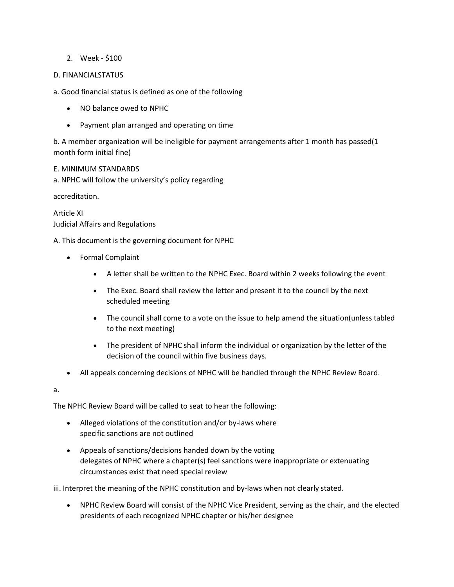# 2. Week - \$100

## D. FINANCIALSTATUS

a. Good financial status is defined as one of the following

- NO balance owed to NPHC
- Payment plan arranged and operating on time

b. A member organization will be ineligible for payment arrangements after 1 month has passed(1 month form initial fine)

## E. MINIMUM STANDARDS

a. NPHC will follow the university's policy regarding

accreditation.

Article XI Judicial Affairs and Regulations

A. This document is the governing document for NPHC

- Formal Complaint
	- A letter shall be written to the NPHC Exec. Board within 2 weeks following the event
	- The Exec. Board shall review the letter and present it to the council by the next scheduled meeting
	- The council shall come to a vote on the issue to help amend the situation(unless tabled to the next meeting)
	- The president of NPHC shall inform the individual or organization by the letter of the decision of the council within five business days.
- All appeals concerning decisions of NPHC will be handled through the NPHC Review Board.

a.

The NPHC Review Board will be called to seat to hear the following:

- Alleged violations of the constitution and/or by-laws where specific sanctions are not outlined
- Appeals of sanctions/decisions handed down by the voting delegates of NPHC where a chapter(s) feel sanctions were inappropriate or extenuating circumstances exist that need special review

iii. Interpret the meaning of the NPHC constitution and by-laws when not clearly stated.

 NPHC Review Board will consist of the NPHC Vice President, serving as the chair, and the elected presidents of each recognized NPHC chapter or his/her designee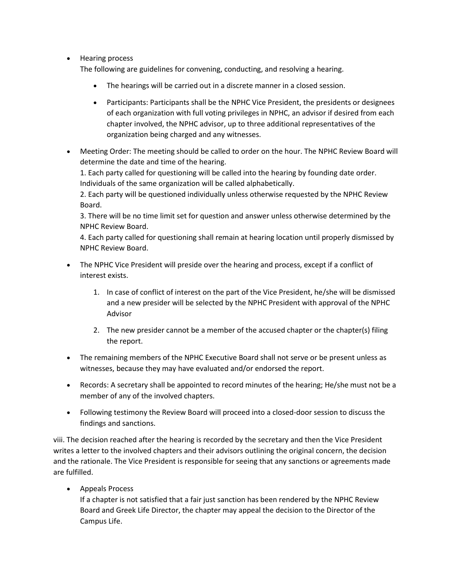• Hearing process

The following are guidelines for convening, conducting, and resolving a hearing.

- The hearings will be carried out in a discrete manner in a closed session.
- Participants: Participants shall be the NPHC Vice President, the presidents or designees of each organization with full voting privileges in NPHC, an advisor if desired from each chapter involved, the NPHC advisor, up to three additional representatives of the organization being charged and any witnesses.
- Meeting Order: The meeting should be called to order on the hour. The NPHC Review Board will determine the date and time of the hearing.

1. Each party called for questioning will be called into the hearing by founding date order. Individuals of the same organization will be called alphabetically.

2. Each party will be questioned individually unless otherwise requested by the NPHC Review Board.

3. There will be no time limit set for question and answer unless otherwise determined by the NPHC Review Board.

4. Each party called for questioning shall remain at hearing location until properly dismissed by NPHC Review Board.

- The NPHC Vice President will preside over the hearing and process, except if a conflict of interest exists.
	- 1. In case of conflict of interest on the part of the Vice President, he/she will be dismissed and a new presider will be selected by the NPHC President with approval of the NPHC Advisor
	- 2. The new presider cannot be a member of the accused chapter or the chapter(s) filing the report.
- The remaining members of the NPHC Executive Board shall not serve or be present unless as witnesses, because they may have evaluated and/or endorsed the report.
- Records: A secretary shall be appointed to record minutes of the hearing; He/she must not be a member of any of the involved chapters.
- Following testimony the Review Board will proceed into a closed-door session to discuss the findings and sanctions.

viii. The decision reached after the hearing is recorded by the secretary and then the Vice President writes a letter to the involved chapters and their advisors outlining the original concern, the decision and the rationale. The Vice President is responsible for seeing that any sanctions or agreements made are fulfilled.

Appeals Process

If a chapter is not satisfied that a fair just sanction has been rendered by the NPHC Review Board and Greek Life Director, the chapter may appeal the decision to the Director of the Campus Life.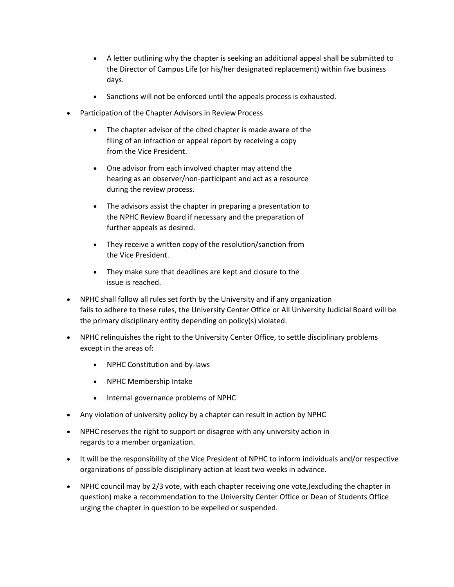- A letter outlining why the chapter is seeking an additional appeal shall be submitted to the Director of Campus Life (or his/her designated replacement) within five business days.
- Sanctions will not be enforced until the appeals process is exhausted.
- Participation of the Chapter Advisors in Review Process
	- The chapter advisor of the cited chapter is made aware of the filing of an infraction or appeal report by receiving a copy from the Vice President.
	- One advisor from each involved chapter may attend the hearing as an observer/non-participant and act as a resource during the review process.
	- The advisors assist the chapter in preparing a presentation to the NPHC Review Board if necessary and the preparation of further appeals as desired.
	- They receive a written copy of the resolution/sanction from the Vice President.
	- They make sure that deadlines are kept and closure to the issue is reached.
- NPHC shall follow all rules set forth by the University and if any organization fails to adhere to these rules, the University Center Office or All University Judicial Board will be the primary disciplinary entity depending on policy(s) violated.
- NPHC relinquishes the right to the University Center Office, to settle disciplinary problems except in the areas of:
	- NPHC Constitution and by-laws
	- NPHC Membership Intake
	- Internal governance problems of NPHC
- Any violation of university policy by a chapter can result in action by NPHC
- NPHC reserves the right to support or disagree with any university action in regards to a member organization.
- It will be the responsibility of the Vice President of NPHC to inform individuals and/or respective organizations of possible disciplinary action at least two weeks in advance.
- NPHC council may by 2/3 vote, with each chapter receiving one vote,(excluding the chapter in question) make a recommendation to the University Center Office or Dean of Students Office urging the chapter in question to be expelled or suspended.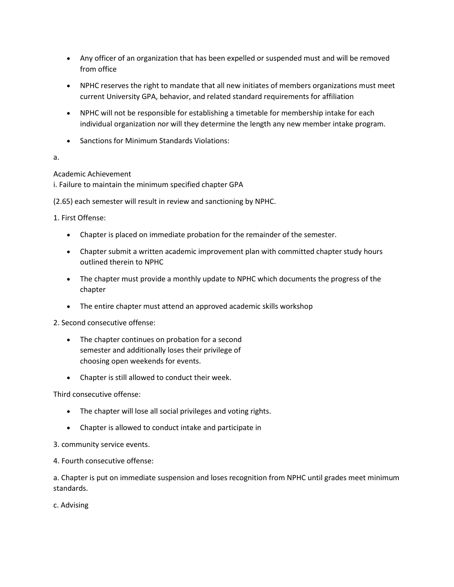- Any officer of an organization that has been expelled or suspended must and will be removed from office
- NPHC reserves the right to mandate that all new initiates of members organizations must meet current University GPA, behavior, and related standard requirements for affiliation
- NPHC will not be responsible for establishing a timetable for membership intake for each individual organization nor will they determine the length any new member intake program.
- Sanctions for Minimum Standards Violations:

# a.

# Academic Achievement

i. Failure to maintain the minimum specified chapter GPA

(2.65) each semester will result in review and sanctioning by NPHC.

1. First Offense:

- Chapter is placed on immediate probation for the remainder of the semester.
- Chapter submit a written academic improvement plan with committed chapter study hours outlined therein to NPHC
- The chapter must provide a monthly update to NPHC which documents the progress of the chapter
- The entire chapter must attend an approved academic skills workshop

## 2. Second consecutive offense:

- The chapter continues on probation for a second semester and additionally loses their privilege of choosing open weekends for events.
- Chapter is still allowed to conduct their week.

Third consecutive offense:

- The chapter will lose all social privileges and voting rights.
- Chapter is allowed to conduct intake and participate in
- 3. community service events.
- 4. Fourth consecutive offense:

a. Chapter is put on immediate suspension and loses recognition from NPHC until grades meet minimum standards.

c. Advising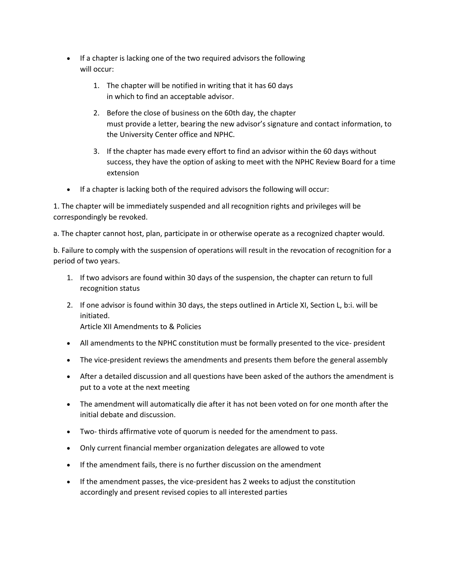- If a chapter is lacking one of the two required advisors the following will occur:
	- 1. The chapter will be notified in writing that it has 60 days in which to find an acceptable advisor.
	- 2. Before the close of business on the 60th day, the chapter must provide a letter, bearing the new advisor's signature and contact information, to the University Center office and NPHC.
	- 3. If the chapter has made every effort to find an advisor within the 60 days without success, they have the option of asking to meet with the NPHC Review Board for a time extension
- If a chapter is lacking both of the required advisors the following will occur:

1. The chapter will be immediately suspended and all recognition rights and privileges will be correspondingly be revoked.

a. The chapter cannot host, plan, participate in or otherwise operate as a recognized chapter would.

b. Failure to comply with the suspension of operations will result in the revocation of recognition for a period of two years.

- 1. If two advisors are found within 30 days of the suspension, the chapter can return to full recognition status
- 2. If one advisor is found within 30 days, the steps outlined in Article XI, Section L, b:i. will be initiated. Article XII Amendments to & Policies
- All amendments to the NPHC constitution must be formally presented to the vice- president
- The vice-president reviews the amendments and presents them before the general assembly
- After a detailed discussion and all questions have been asked of the authors the amendment is put to a vote at the next meeting
- The amendment will automatically die after it has not been voted on for one month after the initial debate and discussion.
- Two- thirds affirmative vote of quorum is needed for the amendment to pass.
- Only current financial member organization delegates are allowed to vote
- If the amendment fails, there is no further discussion on the amendment
- If the amendment passes, the vice-president has 2 weeks to adjust the constitution accordingly and present revised copies to all interested parties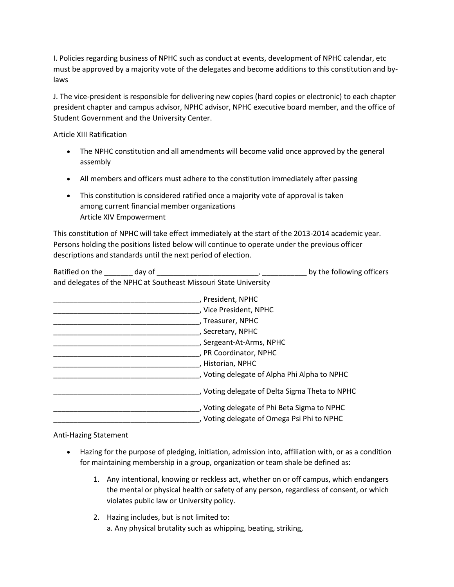I. Policies regarding business of NPHC such as conduct at events, development of NPHC calendar, etc must be approved by a majority vote of the delegates and become additions to this constitution and bylaws

J. The vice-president is responsible for delivering new copies (hard copies or electronic) to each chapter president chapter and campus advisor, NPHC advisor, NPHC executive board member, and the office of Student Government and the University Center.

Article XIII Ratification

- The NPHC constitution and all amendments will become valid once approved by the general assembly
- All members and officers must adhere to the constitution immediately after passing
- This constitution is considered ratified once a majority vote of approval is taken among current financial member organizations Article XIV Empowerment

This constitution of NPHC will take effect immediately at the start of the 2013-2014 academic year. Persons holding the positions listed below will continue to operate under the previous officer descriptions and standards until the next period of election.

| Ratified on the | day of | by the following officers                                        |
|-----------------|--------|------------------------------------------------------------------|
|                 |        | and delegates of the NPHC at Southeast Missouri State University |

| , President, NPHC                              |
|------------------------------------------------|
| , Vice President, NPHC                         |
| , Treasurer, NPHC                              |
| , Secretary, NPHC                              |
| , Sergeant-At-Arms, NPHC                       |
| , PR Coordinator, NPHC                         |
| , Historian, NPHC                              |
| , Voting delegate of Alpha Phi Alpha to NPHC   |
| , Voting delegate of Delta Sigma Theta to NPHC |
| , Voting delegate of Phi Beta Sigma to NPHC    |
| , Voting delegate of Omega Psi Phi to NPHC     |

Anti-Hazing Statement

- Hazing for the purpose of pledging, initiation, admission into, affiliation with, or as a condition for maintaining membership in a group, organization or team shale be defined as:
	- 1. Any intentional, knowing or reckless act, whether on or off campus, which endangers the mental or physical health or safety of any person, regardless of consent, or which violates public law or University policy.
	- 2. Hazing includes, but is not limited to: a. Any physical brutality such as whipping, beating, striking,